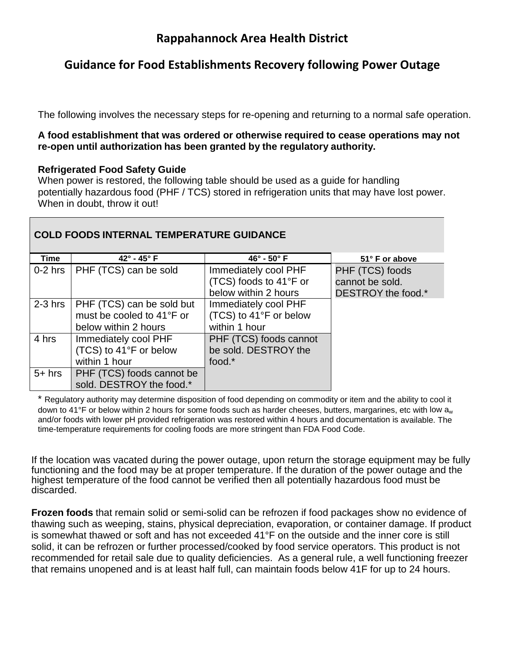# **Guidance for Food Establishments Recovery following Power Outage**

The following involves the necessary steps for re-opening and returning to a normal safe operation.

# **A food establishment that was ordered or otherwise required to cease operations may not re-open until authorization has been granted by the regulatory authority.**

# **Refrigerated Food Safety Guide**

When power is restored, the following table should be used as a guide for handling potentially hazardous food (PHF / TCS) stored in refrigeration units that may have lost power. When in doubt, throw it out!

| <b>COLD FOODS INTERNAL TEMPERATURE GUIDANCE</b> |                           |                           |                    |
|-------------------------------------------------|---------------------------|---------------------------|--------------------|
| Time                                            | $42^\circ$ - $45^\circ$ F | $46^\circ$ - $50^\circ$ F | 51° F or above     |
| $0-2$ hrs                                       | PHF (TCS) can be sold     | Immediately cool PHF      | PHF (TCS) foods    |
|                                                 |                           | (TCS) foods to 41°F or    | cannot be sold.    |
|                                                 |                           | below within 2 hours      | DESTROY the food.* |
| $2-3$ hrs                                       | PHF (TCS) can be sold but | Immediately cool PHF      |                    |
|                                                 | must be cooled to 41°F or | (TCS) to 41°F or below    |                    |
|                                                 | below within 2 hours      | within 1 hour             |                    |
| 4 hrs                                           | Immediately cool PHF      | PHF (TCS) foods cannot    |                    |
|                                                 | (TCS) to 41°F or below    | be sold. DESTROY the      |                    |
|                                                 | within 1 hour             | food.*                    |                    |
| $5+$ hrs                                        | PHF (TCS) foods cannot be |                           |                    |
|                                                 | sold. DESTROY the food.*  |                           |                    |

\* Regulatory authority may determine disposition of food depending on commodity or item and the ability to cool it down to 41°F or below within 2 hours for some foods such as harder cheeses, butters, margarines, etc with low  $a_w$ and/or foods with lower pH provided refrigeration was restored within 4 hours and documentation is available. The time-temperature requirements for cooling foods are more stringent than FDA Food Code.

If the location was vacated during the power outage, upon return the storage equipment may be fully functioning and the food may be at proper temperature. If the duration of the power outage and the highest temperature of the food cannot be verified then all potentially hazardous food must be discarded.

**Frozen foods** that remain solid or semi-solid can be refrozen if food packages show no evidence of thawing such as weeping, stains, physical depreciation, evaporation, or container damage. If product is somewhat thawed or soft and has not exceeded 41°F on the outside and the inner core is still solid, it can be refrozen or further processed/cooked by food service operators. This product is not recommended for retail sale due to quality deficiencies. As a general rule, a well functioning freezer that remains unopened and is at least half full, can maintain foods below 41F for up to 24 hours.